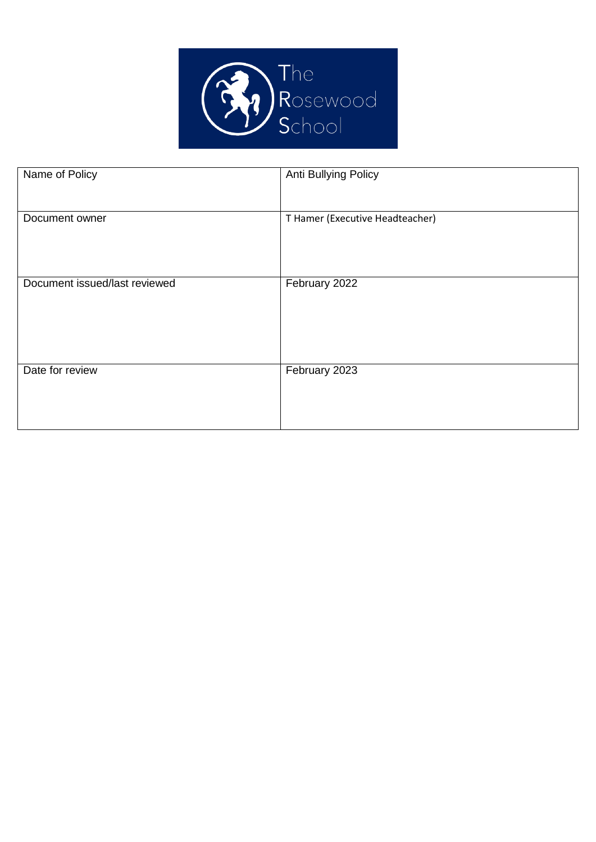

| Name of Policy                | Anti Bullying Policy            |
|-------------------------------|---------------------------------|
| Document owner                | T Hamer (Executive Headteacher) |
| Document issued/last reviewed | February 2022                   |
| Date for review               | February 2023                   |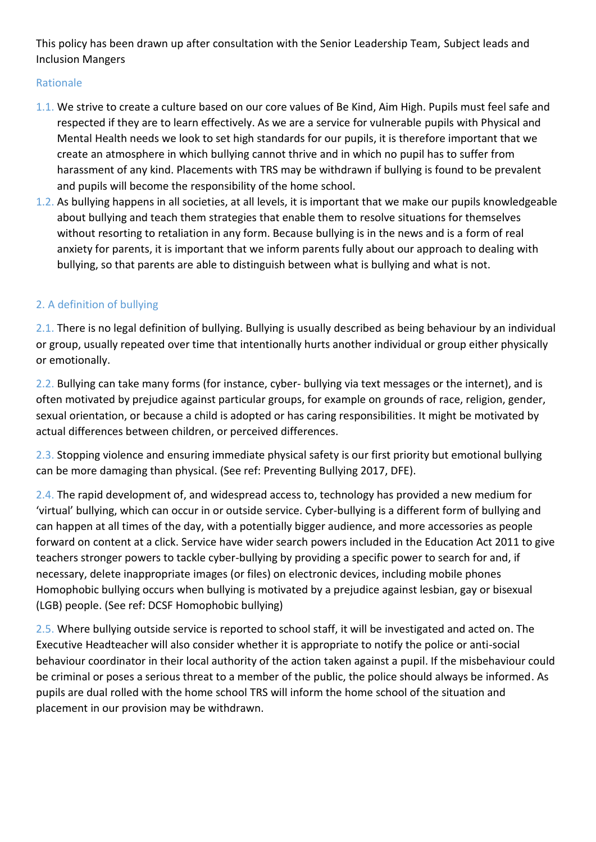This policy has been drawn up after consultation with the Senior Leadership Team, Subject leads and Inclusion Mangers

## Rationale

- 1.1. We strive to create a culture based on our core values of Be Kind, Aim High. Pupils must feel safe and respected if they are to learn effectively. As we are a service for vulnerable pupils with Physical and Mental Health needs we look to set high standards for our pupils, it is therefore important that we create an atmosphere in which bullying cannot thrive and in which no pupil has to suffer from harassment of any kind. Placements with TRS may be withdrawn if bullying is found to be prevalent and pupils will become the responsibility of the home school.
- 1.2. As bullying happens in all societies, at all levels, it is important that we make our pupils knowledgeable about bullying and teach them strategies that enable them to resolve situations for themselves without resorting to retaliation in any form. Because bullying is in the news and is a form of real anxiety for parents, it is important that we inform parents fully about our approach to dealing with bullying, so that parents are able to distinguish between what is bullying and what is not.

# 2. A definition of bullying

2.1. There is no legal definition of bullying. Bullying is usually described as being behaviour by an individual or group, usually repeated over time that intentionally hurts another individual or group either physically or emotionally.

2.2. Bullying can take many forms (for instance, cyber- bullying via text messages or the internet), and is often motivated by prejudice against particular groups, for example on grounds of race, religion, gender, sexual orientation, or because a child is adopted or has caring responsibilities. It might be motivated by actual differences between children, or perceived differences.

2.3. Stopping violence and ensuring immediate physical safety is our first priority but emotional bullying can be more damaging than physical. (See ref: Preventing Bullying 2017, DFE).

2.4. The rapid development of, and widespread access to, technology has provided a new medium for 'virtual' bullying, which can occur in or outside service. Cyber-bullying is a different form of bullying and can happen at all times of the day, with a potentially bigger audience, and more accessories as people forward on content at a click. Service have wider search powers included in the Education Act 2011 to give teachers stronger powers to tackle cyber-bullying by providing a specific power to search for and, if necessary, delete inappropriate images (or files) on electronic devices, including mobile phones Homophobic bullying occurs when bullying is motivated by a prejudice against lesbian, gay or bisexual (LGB) people. (See ref: DCSF Homophobic bullying)

2.5. Where bullying outside service is reported to school staff, it will be investigated and acted on. The Executive Headteacher will also consider whether it is appropriate to notify the police or anti-social behaviour coordinator in their local authority of the action taken against a pupil. If the misbehaviour could be criminal or poses a serious threat to a member of the public, the police should always be informed. As pupils are dual rolled with the home school TRS will inform the home school of the situation and placement in our provision may be withdrawn.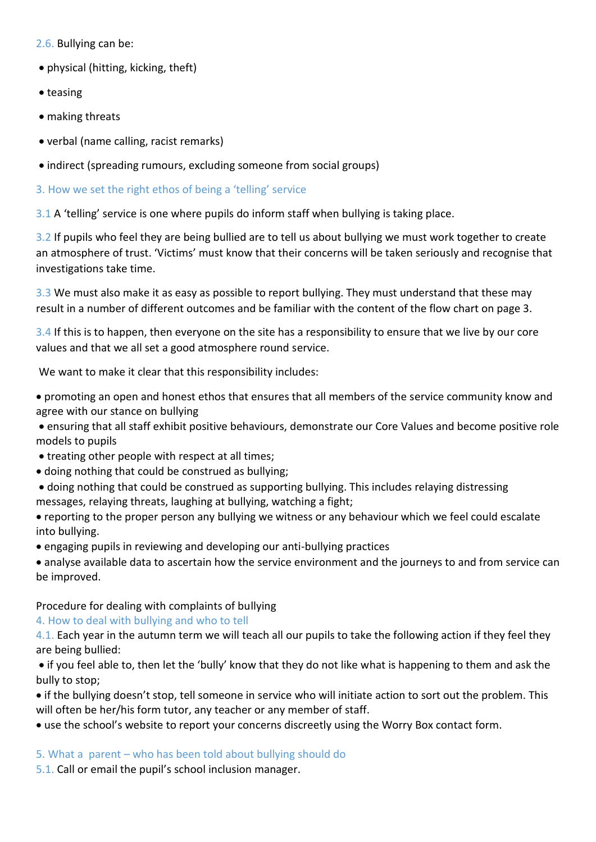2.6. Bullying can be:

- physical (hitting, kicking, theft)
- teasing
- making threats
- verbal (name calling, racist remarks)
- indirect (spreading rumours, excluding someone from social groups)

## 3. How we set the right ethos of being a 'telling' service

3.1 A 'telling' service is one where pupils do inform staff when bullying is taking place.

3.2 If pupils who feel they are being bullied are to tell us about bullying we must work together to create an atmosphere of trust. 'Victims' must know that their concerns will be taken seriously and recognise that investigations take time.

3.3 We must also make it as easy as possible to report bullying. They must understand that these may result in a number of different outcomes and be familiar with the content of the flow chart on page 3.

3.4 If this is to happen, then everyone on the site has a responsibility to ensure that we live by our core values and that we all set a good atmosphere round service.

We want to make it clear that this responsibility includes:

 promoting an open and honest ethos that ensures that all members of the service community know and agree with our stance on bullying

 ensuring that all staff exhibit positive behaviours, demonstrate our Core Values and become positive role models to pupils

- treating other people with respect at all times;
- doing nothing that could be construed as bullying;
- doing nothing that could be construed as supporting bullying. This includes relaying distressing messages, relaying threats, laughing at bullying, watching a fight;
- reporting to the proper person any bullying we witness or any behaviour which we feel could escalate into bullying.
- engaging pupils in reviewing and developing our anti-bullying practices

 analyse available data to ascertain how the service environment and the journeys to and from service can be improved.

### Procedure for dealing with complaints of bullying

### 4. How to deal with bullying and who to tell

4.1. Each year in the autumn term we will teach all our pupils to take the following action if they feel they are being bullied:

 if you feel able to, then let the 'bully' know that they do not like what is happening to them and ask the bully to stop;

 if the bullying doesn't stop, tell someone in service who will initiate action to sort out the problem. This will often be her/his form tutor, any teacher or any member of staff.

use the school's website to report your concerns discreetly using the Worry Box contact form.

### 5. What a parent – who has been told about bullying should do

5.1. Call or email the pupil's school inclusion manager.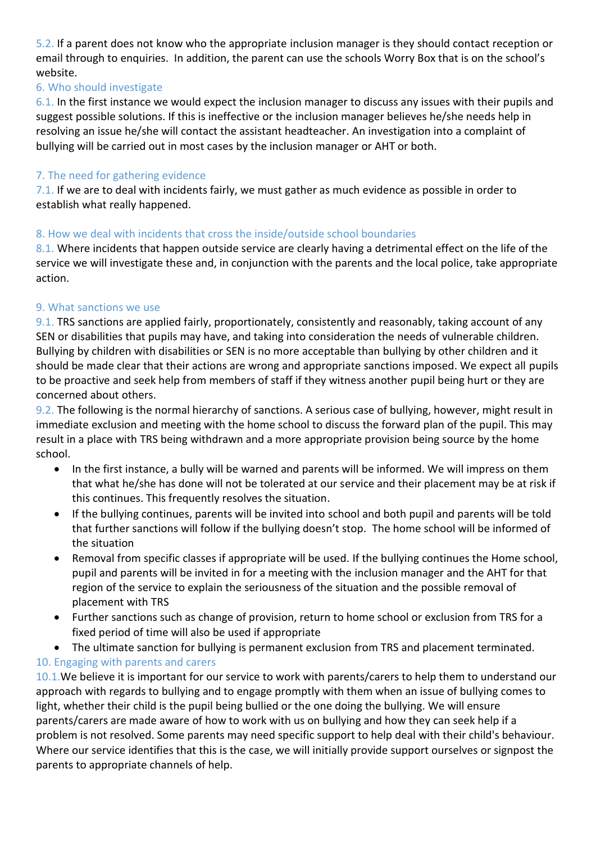5.2. If a parent does not know who the appropriate inclusion manager is they should contact reception or email through to enquiries. In addition, the parent can use the schools Worry Box that is on the school's website.

## 6. Who should investigate

6.1. In the first instance we would expect the inclusion manager to discuss any issues with their pupils and suggest possible solutions. If this is ineffective or the inclusion manager believes he/she needs help in resolving an issue he/she will contact the assistant headteacher. An investigation into a complaint of bullying will be carried out in most cases by the inclusion manager or AHT or both.

### 7. The need for gathering evidence

7.1. If we are to deal with incidents fairly, we must gather as much evidence as possible in order to establish what really happened.

### 8. How we deal with incidents that cross the inside/outside school boundaries

8.1. Where incidents that happen outside service are clearly having a detrimental effect on the life of the service we will investigate these and, in conjunction with the parents and the local police, take appropriate action.

### 9. What sanctions we use

9.1. TRS sanctions are applied fairly, proportionately, consistently and reasonably, taking account of any SEN or disabilities that pupils may have, and taking into consideration the needs of vulnerable children. Bullying by children with disabilities or SEN is no more acceptable than bullying by other children and it should be made clear that their actions are wrong and appropriate sanctions imposed. We expect all pupils to be proactive and seek help from members of staff if they witness another pupil being hurt or they are concerned about others.

9.2. The following is the normal hierarchy of sanctions. A serious case of bullying, however, might result in immediate exclusion and meeting with the home school to discuss the forward plan of the pupil. This may result in a place with TRS being withdrawn and a more appropriate provision being source by the home school.

- In the first instance, a bully will be warned and parents will be informed. We will impress on them that what he/she has done will not be tolerated at our service and their placement may be at risk if this continues. This frequently resolves the situation.
- If the bullying continues, parents will be invited into school and both pupil and parents will be told that further sanctions will follow if the bullying doesn't stop. The home school will be informed of the situation
- Removal from specific classes if appropriate will be used. If the bullying continues the Home school, pupil and parents will be invited in for a meeting with the inclusion manager and the AHT for that region of the service to explain the seriousness of the situation and the possible removal of placement with TRS
- Further sanctions such as change of provision, return to home school or exclusion from TRS for a fixed period of time will also be used if appropriate
- The ultimate sanction for bullying is permanent exclusion from TRS and placement terminated.

# 10. Engaging with parents and carers

10.1. We believe it is important for our service to work with parents/carers to help them to understand our approach with regards to bullying and to engage promptly with them when an issue of bullying comes to light, whether their child is the pupil being bullied or the one doing the bullying. We will ensure parents/carers are made aware of how to work with us on bullying and how they can seek help if a problem is not resolved. Some parents may need specific support to help deal with their child's behaviour. Where our service identifies that this is the case, we will initially provide support ourselves or signpost the parents to appropriate channels of help.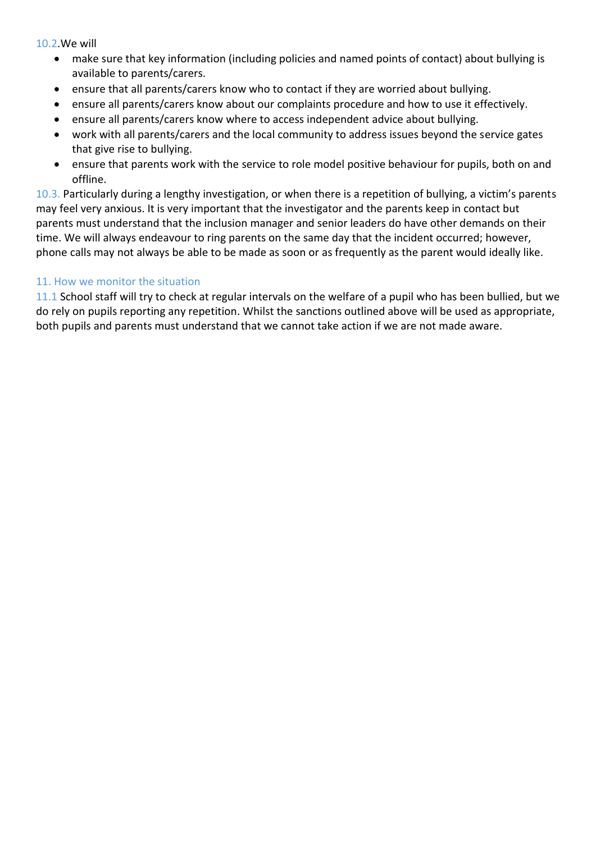10.2.We will

- make sure that key information (including policies and named points of contact) about bullying is available to parents/carers.
- ensure that all parents/carers know who to contact if they are worried about bullying.
- ensure all parents/carers know about our complaints procedure and how to use it effectively.
- ensure all parents/carers know where to access independent advice about bullying.
- work with all parents/carers and the local community to address issues beyond the service gates that give rise to bullying.
- ensure that parents work with the service to role model positive behaviour for pupils, both on and offline.

10.3. Particularly during a lengthy investigation, or when there is a repetition of bullying, a victim's parents may feel very anxious. It is very important that the investigator and the parents keep in contact but parents must understand that the inclusion manager and senior leaders do have other demands on their time. We will always endeavour to ring parents on the same day that the incident occurred; however, phone calls may not always be able to be made as soon or as frequently as the parent would ideally like.

#### 11. How we monitor the situation

11.1 School staff will try to check at regular intervals on the welfare of a pupil who has been bullied, but we do rely on pupils reporting any repetition. Whilst the sanctions outlined above will be used as appropriate, both pupils and parents must understand that we cannot take action if we are not made aware.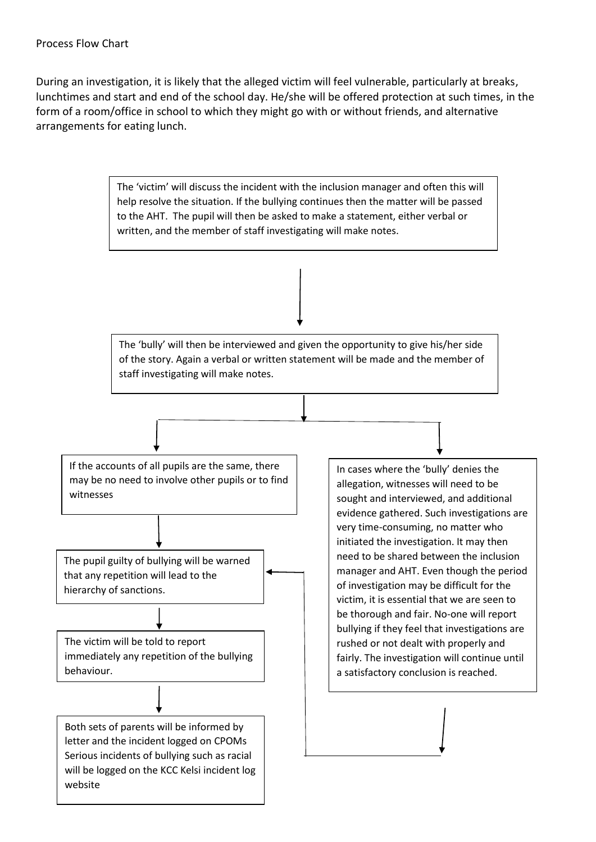During an investigation, it is likely that the alleged victim will feel vulnerable, particularly at breaks, lunchtimes and start and end of the school day. He/she will be offered protection at such times, in the form of a room/office in school to which they might go with or without friends, and alternative arrangements for eating lunch.